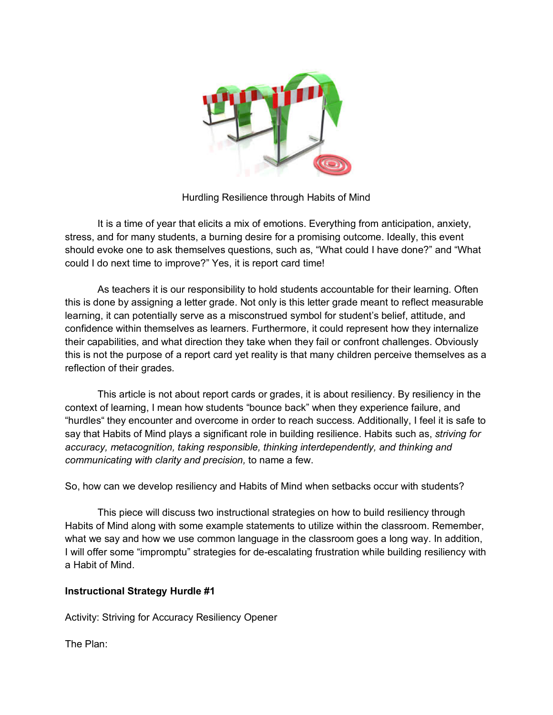

Hurdling Resilience through Habits of Mind

It is a time of year that elicits a mix of emotions. Everything from anticipation, anxiety, stress, and for many students, a burning desire for a promising outcome. Ideally, this event should evoke one to ask themselves questions, such as, "What could I have done?" and "What could I do next time to improve?" Yes, it is report card time!

As teachers it is our responsibility to hold students accountable for their learning. Often this is done by assigning a letter grade. Not only is this letter grade meant to reflect measurable learning, it can potentially serve as a misconstrued symbol for student's belief, attitude, and confidence within themselves as learners. Furthermore, it could represent how they internalize their capabilities, and what direction they take when they fail or confront challenges. Obviously this is not the purpose of a report card yet reality is that many children perceive themselves as a reflection of their grades.

This article is not about report cards or grades, it is about resiliency. By resiliency in the context of learning, I mean how students "bounce back" when they experience failure, and "hurdles" they encounter and overcome in order to reach success. Additionally, I feel it is safe to say that Habits of Mind plays a significant role in building resilience. Habits such as, *striving for accuracy, metacognition, taking responsible, thinking interdependently, and thinking and communicating with clarity and precision,* to name a few.

So, how can we develop resiliency and Habits of Mind when setbacks occur with students?

This piece will discuss two instructional strategies on how to build resiliency through Habits of Mind along with some example statements to utilize within the classroom. Remember, what we say and how we use common language in the classroom goes a long way. In addition, I will offer some "impromptu" strategies for de-escalating frustration while building resiliency with a Habit of Mind.

### **Instructional Strategy Hurdle #1**

Activity: Striving for Accuracy Resiliency Opener

The Plan: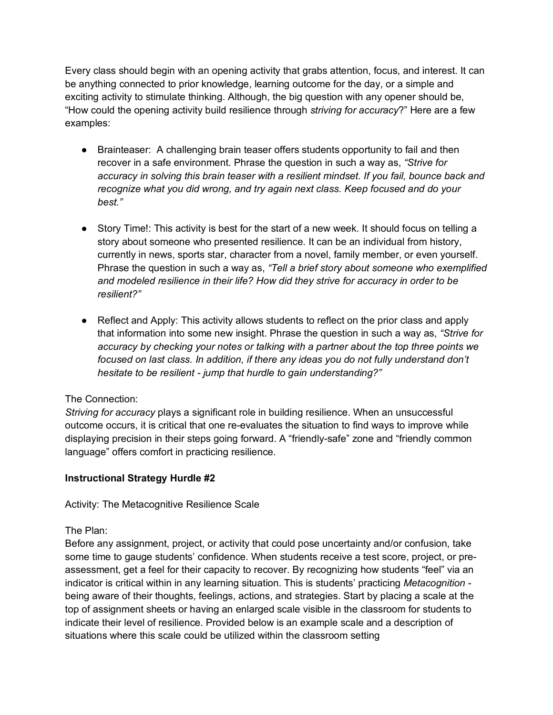Every class should begin with an opening activity that grabs attention, focus, and interest. It can be anything connected to prior knowledge, learning outcome for the day, or a simple and exciting activity to stimulate thinking. Although, the big question with any opener should be, "How could the opening activity build resilience through *striving for accuracy*?" Here are a few examples:

- Brainteaser: A challenging brain teaser offers students opportunity to fail and then recover in a safe environment. Phrase the question in such a way as, *"Strive for accuracy in solving this brain teaser with a resilient mindset. If you fail, bounce back and recognize what you did wrong, and try again next class. Keep focused and do your best."*
- Story Time!: This activity is best for the start of a new week. It should focus on telling a story about someone who presented resilience. It can be an individual from history, currently in news, sports star, character from a novel, family member, or even yourself. Phrase the question in such a way as, *"Tell a brief story about someone who exemplified and modeled resilience in their life? How did they strive for accuracy in order to be resilient?"*
- Reflect and Apply: This activity allows students to reflect on the prior class and apply that information into some new insight. Phrase the question in such a way as, *"Strive for accuracy by checking your notes or talking with a partner about the top three points we focused on last class. In addition, if there any ideas you do not fully understand don't hesitate to be resilient - jump that hurdle to gain understanding?"*

# The Connection:

*Striving for accuracy* plays a significant role in building resilience. When an unsuccessful outcome occurs, it is critical that one re-evaluates the situation to find ways to improve while displaying precision in their steps going forward. A "friendly-safe" zone and "friendly common language" offers comfort in practicing resilience.

### **Instructional Strategy Hurdle #2**

Activity: The Metacognitive Resilience Scale

# The Plan:

Before any assignment, project, or activity that could pose uncertainty and/or confusion, take some time to gauge students' confidence. When students receive a test score, project, or preassessment, get a feel for their capacity to recover. By recognizing how students "feel" via an indicator is critical within in any learning situation. This is students' practicing *Metacognition* being aware of their thoughts, feelings, actions, and strategies. Start by placing a scale at the top of assignment sheets or having an enlarged scale visible in the classroom for students to indicate their level of resilience. Provided below is an example scale and a description of situations where this scale could be utilized within the classroom setting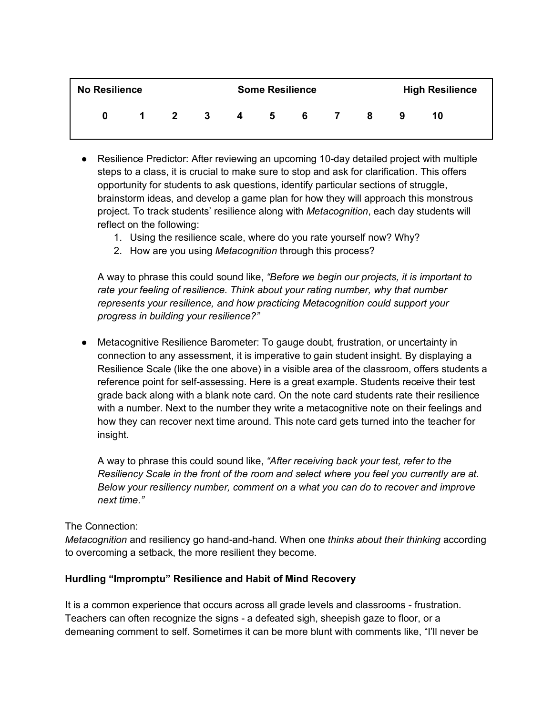| <b>No Resilience</b> |  |              |                         | <b>Some Resilience</b> |   |    |  |  | <b>High Resilience</b> |    |  |
|----------------------|--|--------------|-------------------------|------------------------|---|----|--|--|------------------------|----|--|
| 0                    |  | $\mathbf{2}$ | $\overline{\mathbf{3}}$ | 4                      | 5 | -6 |  |  | 9                      | 10 |  |

- Resilience Predictor: After reviewing an upcoming 10-day detailed project with multiple steps to a class, it is crucial to make sure to stop and ask for clarification. This offers opportunity for students to ask questions, identify particular sections of struggle, brainstorm ideas, and develop a game plan for how they will approach this monstrous project. To track students' resilience along with *Metacognition*, each day students will reflect on the following:
	- 1. Using the resilience scale, where do you rate yourself now? Why?
	- 2. How are you using *Metacognition* through this process?

A way to phrase this could sound like, *"Before we begin our projects, it is important to rate your feeling of resilience. Think about your rating number, why that number represents your resilience, and how practicing Metacognition could support your progress in building your resilience?"*

● Metacognitive Resilience Barometer: To gauge doubt, frustration, or uncertainty in connection to any assessment, it is imperative to gain student insight. By displaying a Resilience Scale (like the one above) in a visible area of the classroom, offers students a reference point for self-assessing. Here is a great example. Students receive their test grade back along with a blank note card. On the note card students rate their resilience with a number. Next to the number they write a metacognitive note on their feelings and how they can recover next time around. This note card gets turned into the teacher for insight.

A way to phrase this could sound like, *"After receiving back your test, refer to the Resiliency Scale in the front of the room and select where you feel you currently are at. Below your resiliency number, comment on a what you can do to recover and improve next time."*

# The Connection:

*Metacognition* and resiliency go hand-and-hand. When one *thinks about their thinking* according to overcoming a setback, the more resilient they become.

# **Hurdling "Impromptu" Resilience and Habit of Mind Recovery**

It is a common experience that occurs across all grade levels and classrooms - frustration. Teachers can often recognize the signs - a defeated sigh, sheepish gaze to floor, or a demeaning comment to self. Sometimes it can be more blunt with comments like, "I'll never be